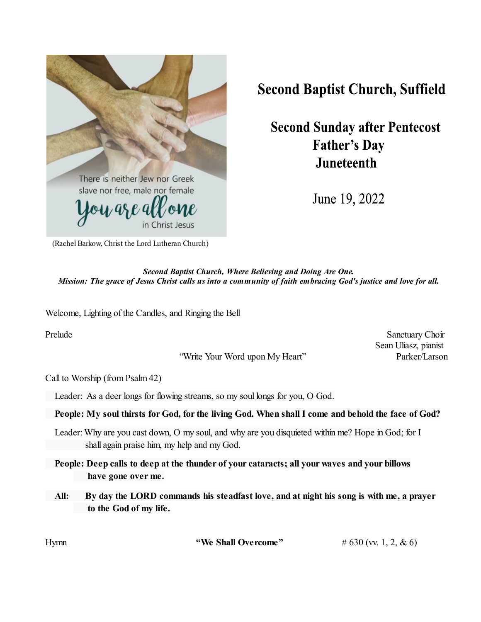

## **Second Baptist Church, Suffield**

**Second Sunday after Pentecost Father's Day Juneteenth** 

June 19, 2022

(Rachel Barkow, Christ the Lord Lutheran Church)

*Second Baptist Church, Where Believing and Doing Are One. Mission: The grace of Jesus Christ calls us into a community of faith embracing God's justice and love for all.*

Welcome, Lighting of the Candles, and Ringing the Bell

"Write Your Word upon My Heart" Parker/Larson

Prelude Sanctuary Choir Sean Uliasz, pianist

Call to Worship (from Psalm 42)

Leader: As a deer longs for flowing streams, so my soul longs for you, O God.

## **People: My soul thirsts for God, for the living God. When shall I come and behold the face of God?**

Leader: Why are you cast down, O my soul, and why are you disquieted within me? Hope in God; for I shall again praise him, my help and my God.

**People: Deep calls to deep at the thunder of your cataracts; all your waves and your billows have gone over me.**

**All: By day the LORD commands his steadfast love, and at night his song is with me, a prayer to the God of my life.**

| Hvmn | "We Shall Overcome" | # 630 (vv. 1, 2, & 6) |
|------|---------------------|-----------------------|
|      |                     |                       |